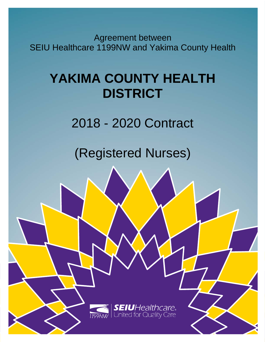Agreement between SEIU Healthcare 1199NW and Yakima County Health

# **YAKIMA COUNTY HEALTH DISTRICT**

2018 - 2020 Contract

(Registered Nurses)

**SEIU**Healthcare.<br>United for Quality Care 1199NW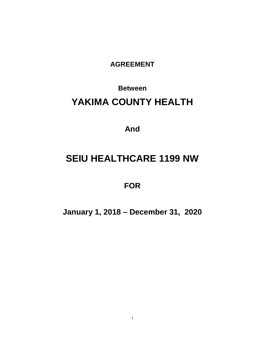**AGREEMENT**

## **Between YAKIMA COUNTY HEALTH**

**And**

### **SEIU HEALTHCARE 1199 NW**

**FOR**

**January 1, 2018 – December 31, 2020**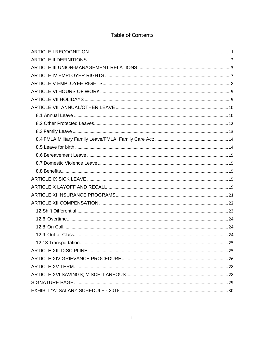### Table of Contents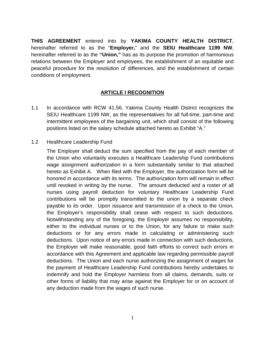**THIS AGREEMENT** entered into by **YAKIMA COUNTY HEALTH DISTRICT**, hereinafter referred to as the "**Employer,**" and the **SEIU Healthcare 1199 NW**, hereinafter referred to as the **"Union,"** has as its purpose the promotion of harmonious relations between the Employer and employees, the establishment of an equitable and peaceful procedure for the resolution of differences, and the establishment of certain conditions of employment.

#### **ARTICLE I RECOGNITION**

<span id="page-3-0"></span>1.1 In accordance with RCW 41.56, Yakima County Health District recognizes the SEIU Healthcare 1199 NW, as the representatives for all full-time, part-time and intermittent employees of the bargaining unit, which shall consist of the following positions listed on the salary schedule attached hereto as Exhibit "A."

#### 1.2 Healthcare Leadership Fund

The Employer shall deduct the sum specified from the pay of each member of the Union who voluntarily executes a Healthcare Leadership Fund contributions wage assignment authorization in a form substantially similar to that attached hereto as Exhibit A. When filed with the Employer, the authorization form will be honored in accordance with its terms. The authorization form will remain in effect until revoked in writing by the nurse. The amount deducted and a roster of all nurses using payroll deduction for voluntary Healthcare Leadership Fund contributions will be promptly transmitted to the union by a separate check payable to its order. Upon issuance and transmission of a check to the Union, the Employer's responsibility shall cease with respect to such deductions. Notwithstanding any of the foregoing, the Employer assumes no responsibility, either to the individual nurses or to the Union, for any failure to make such deductions or for any errors made in calculating or administering such deductions. Upon notice of any errors made in connection with such deductions, the Employer will make reasonable, good faith efforts to correct such errors in accordance with this Agreement and applicable law regarding permissible payroll deductions. The Union and each nurse authorizing the assignment of wages for the payment of Healthcare Leadership Fund contributions hereby undertakes to indemnify and hold the Employer harmless from all claims, demands, suits or other forms of liability that may arise against the Employer for or on account of any deduction made from the wages of such nurse.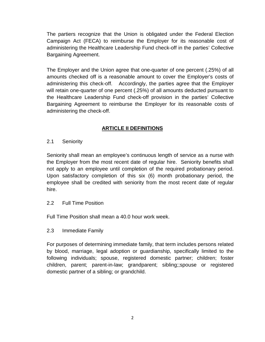The partiers recognize that the Union is obligated under the Federal Election Campaign Act (FECA) to reimburse the Employer for its reasonable cost of administering the Healthcare Leadership Fund check-off in the parties' Collective Bargaining Agreement.

The Employer and the Union agree that one-quarter of one percent (.25%) of all amounts checked off is a reasonable amount to cover the Employer's costs of administering this check-off. Accordingly, the parties agree that the Employer will retain one-quarter of one percent (.25%) of all amounts deducted pursuant to the Healthcare Leadership Fund check-off provision in the parties' Collective Bargaining Agreement to reimburse the Employer for its reasonable costs of administering the check-off.

#### **ARTICLE II DEFINITIONS**

<span id="page-4-0"></span>2.1 Seniority

Seniority shall mean an employee's continuous length of service as a nurse with the Employer from the most recent date of regular hire. Seniority benefits shall not apply to an employee until completion of the required probationary period. Upon satisfactory completion of this six (6) month probationary period, the employee shall be credited with seniority from the most recent date of regular hire.

2.2 Full Time Position

Full Time Position shall mean a 40.0 hour work week.

2.3 Immediate Family

For purposes of determining immediate family, that term includes persons related by blood, marriage, legal adoption or guardianship, specifically limited to the following individuals; spouse, registered domestic partner; children; foster children, parent; parent-in-law; grandparent; sibling;;spouse or registered domestic partner of a sibling; or grandchild.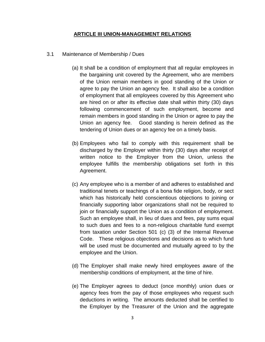#### **ARTICLE III UNION-MANAGEMENT RELATIONS**

- <span id="page-5-0"></span>3.1 Maintenance of Membership / Dues
	- (a) It shall be a condition of employment that all regular employees in the bargaining unit covered by the Agreement, who are members of the Union remain members in good standing of the Union or agree to pay the Union an agency fee. It shall also be a condition of employment that all employees covered by this Agreement who are hired on or after its effective date shall within thirty (30) days following commencement of such employment, become and remain members in good standing in the Union or agree to pay the Union an agency fee. Good standing is herein defined as the tendering of Union dues or an agency fee on a timely basis.
	- (b) Employees who fail to comply with this requirement shall be discharged by the Employer within thirty (30) days after receipt of written notice to the Employer from the Union, unless the employee fulfills the membership obligations set forth in this Agreement.
	- (c) Any employee who is a member of and adheres to established and traditional tenets or teachings of a bona fide religion, body, or sect which has historically held conscientious objections to joining or financially supporting labor organizations shall not be required to join or financially support the Union as a condition of employment. Such an employee shall, in lieu of dues and fees, pay sums equal to such dues and fees to a non-religious charitable fund exempt from taxation under Section 501 (c) (3) of the Internal Revenue Code. These religious objections and decisions as to which fund will be used must be documented and mutually agreed to by the employee and the Union.
	- (d) The Employer shall make newly hired employees aware of the membership conditions of employment, at the time of hire.
	- (e) The Employer agrees to deduct (once monthly) union dues or agency fees from the pay of those employees who request such deductions in writing. The amounts deducted shall be certified to the Employer by the Treasurer of the Union and the aggregate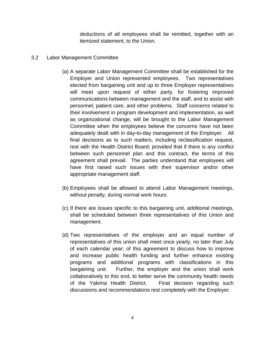deductions of all employees shall be remitted, together with an itemized statement, to the Union.

#### 3.2 Labor Management Committee

- (a) A separate Labor Management Committee shall be established for the Employer and Union represented employees. Two representatives elected from bargaining unit and up to three Employer representatives will meet upon request of either party, for fostering improved communications between management and the staff, and to assist with personnel, patient care, and other problems. Staff concerns related to their involvement in program development and implementation, as well as organizational change, will be brought to the Labor Management Committee when the employees believe the concerns have not been adequately dealt with in day-to-day management of the Employer. All final decisions as to such matters, including reclassification request, rest with the Health District Board; provided that if there is any conflict between such personnel plan and this contract, the terms of this agreement shall prevail. The parties understand that employees will have first raised such issues with their supervisor and/or other appropriate management staff.
- (b) Employees shall be allowed to attend Labor Management meetings, without penalty, during normal work hours.
- (c) If there are issues specific to this bargaining unit, additional meetings, shall be scheduled between three representatives of this Union and management.
- (d) Two representatives of the employer and an equal number of representatives of this union shall meet once yearly, no later than July of each calendar year; of this agreement to discuss how to improve and increase public health funding and further enhance existing programs and additional programs with classifications in this bargaining unit. Further, the employer and the union shall work collaboratively to this end, to better serve the community health needs of the Yakima Health District. Final decision regarding such discussions and recommendations rest completely with the Employer.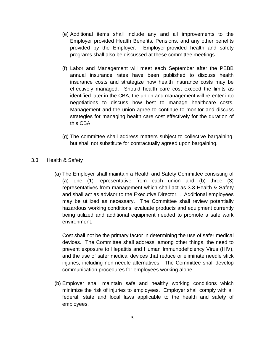- (e) Additional items shall include any and all improvements to the Employer provided Health Benefits, Pensions, and any other benefits provided by the Employer. Employer-provided health and safety programs shall also be discussed at these committee meetings.
- (f) Labor and Management will meet each September after the PEBB annual insurance rates have been published to discuss health insurance costs and strategize how health insurance costs may be effectively managed. Should health care cost exceed the limits as identified later in the CBA, the union and management will re-enter into negotiations to discuss how best to manage healthcare costs. Management and the union agree to continue to monitor and discuss strategies for managing health care cost effectively for the duration of this CBA.
- (g) The committee shall address matters subject to collective bargaining, but shall not substitute for contractually agreed upon bargaining.

#### 3.3 Health & Safety

(a) The Employer shall maintain a Health and Safety Committee consisting of (a) one (1) representative from each union and (b) three (3) representatives from management which shall act as 3.3 Health & Safety and shall act as advisor to the Executive Director. . Additional employees may be utilized as necessary. The Committee shall review potentially hazardous working conditions, evaluate products and equipment currently being utilized and additional equipment needed to promote a safe work environment.

Cost shall not be the primary factor in determining the use of safer medical devices. The Committee shall address, among other things, the need to prevent exposure to Hepatitis and Human Immunodeficiency Virus (HIV), and the use of safer medical devices that reduce or eliminate needle stick injuries, including non-needle alternatives. The Committee shall develop communication procedures for employees working alone.

(b) Employer shall maintain safe and healthy working conditions which minimize the risk of injuries to employees. Employer shall comply with all federal, state and local laws applicable to the health and safety of employees.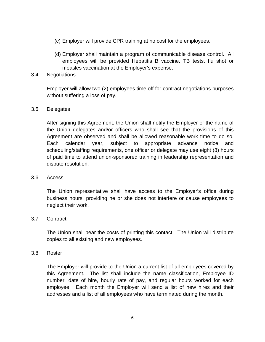- (c) Employer will provide CPR training at no cost for the employees.
- (d) Employer shall maintain a program of communicable disease control. All employees will be provided Hepatitis B vaccine, TB tests, flu shot or measles vaccination at the Employer's expense.
- 3.4 Negotiations

Employer will allow two (2) employees time off for contract negotiations purposes without suffering a loss of pay.

#### 3.5 Delegates

After signing this Agreement, the Union shall notify the Employer of the name of the Union delegates and/or officers who shall see that the provisions of this Agreement are observed and shall be allowed reasonable work time to do so. Each calendar year, subject to appropriate advance notice and scheduling/staffing requirements, one officer or delegate may use eight (8) hours of paid time to attend union-sponsored training in leadership representation and dispute resolution.

#### 3.6 Access

The Union representative shall have access to the Employer's office during business hours, providing he or she does not interfere or cause employees to neglect their work.

#### 3.7 Contract

The Union shall bear the costs of printing this contact. The Union will distribute copies to all existing and new employees.

#### 3.8 Roster

The Employer will provide to the Union a current list of all employees covered by this Agreement. The list shall include the name classification, Employee ID number, date of hire, hourly rate of pay, and regular hours worked for each employee. Each month the Employer will send a list of new hires and their addresses and a list of all employees who have terminated during the month.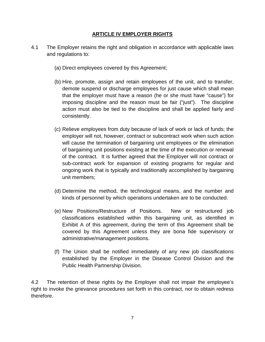#### **ARTICLE IV EMPLOYER RIGHTS**

- <span id="page-9-0"></span>4.1 The Employer retains the right and obligation in accordance with applicable laws and regulations to:
	- (a) Direct employees covered by this Agreement;
	- (b) Hire, promote, assign and retain employees of the unit, and to transfer, demote suspend or discharge employees for just cause which shall mean that the employer must have a reason (he or she must have "cause") for imposing discipline and the reason must be fair ("just"). The discipline action must also be tied to the discipline and shall be applied fairly and consistently.
	- (c) Relieve employees from duty because of lack of work or lack of funds; the employer will not, however, contract or subcontract work when such action will cause the termination of bargaining unit employees or the elimination of bargaining unit positions existing at the time of the execution or renewal of the contract. It is further agreed that the Employer will not contract or sub-contract work for expansion of existing programs for regular and ongoing work that is typically and traditionally accomplished by bargaining unit members;
	- (d) Determine the method, the technological means, and the number and kinds of personnel by which operations undertaken are to be conducted.
	- (e) New Positions/Restructure of Positions. New or restructured job classifications established within this bargaining unit, as identified in Exhibit A of this agreement, during the term of this Agreement shall be covered by this Agreement unless they are bona fide supervisory or administrative/management positions.
	- (f) The Union shall be notified immediately of any new job classifications established by the Employer in the Disease Control Division and the Public Health Partnership Division.

4.2 The retention of these rights by the Employer shall not impair the employee's right to invoke the grievance procedures set forth in this contract, nor to obtain redress therefore.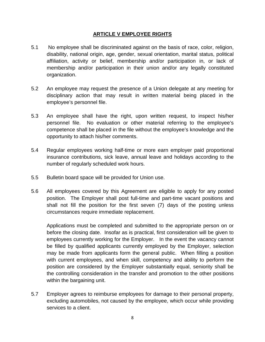#### **ARTICLE V EMPLOYEE RIGHTS**

- <span id="page-10-0"></span>5.1 No employee shall be discriminated against on the basis of race, color, religion, disability, national origin, age, gender, sexual orientation, marital status, political affiliation, activity or belief, membership and/or participation in, or lack of membership and/or participation in their union and/or any legally constituted organization.
- 5.2 An employee may request the presence of a Union delegate at any meeting for disciplinary action that may result in written material being placed in the employee's personnel file.
- 5.3 An employee shall have the right, upon written request, to inspect his/her personnel file. No evaluation or other material referring to the employee's competence shall be placed in the file without the employee's knowledge and the opportunity to attach his/her comments.
- 5.4 Regular employees working half-time or more earn employer paid proportional insurance contributions, sick leave, annual leave and holidays according to the number of regularly scheduled work hours.
- 5.5 Bulletin board space will be provided for Union use.
- 5.6 All employees covered by this Agreement are eligible to apply for any posted position. The Employer shall post full-time and part-time vacant positions and shall not fill the position for the first seven (7) days of the posting unless circumstances require immediate replacement.

Applications must be completed and submitted to the appropriate person on or before the closing date. Insofar as is practical, first consideration will be given to employees currently working for the Employer. In the event the vacancy cannot be filled by qualified applicants currently employed by the Employer, selection may be made from applicants form the general public. When filling a position with current employees, and when skill, competency and ability to perform the position are considered by the Employer substantially equal, seniority shall be the controlling consideration in the transfer and promotion to the other positions within the bargaining unit.

5.7 Employer agrees to reimburse employees for damage to their personal property, excluding automobiles, not caused by the employee, which occur while providing services to a client.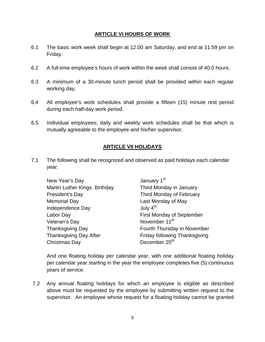#### **ARTICLE VI HOURS OF WORK**

- <span id="page-11-0"></span>6.1 The basic work week shall begin at 12:00 am Saturday, and end at 11:59 pm on Friday.
- 6.2 A full-time employee's hours of work within the week shall consist of 40.0 hours.
- 6.3 A minimum of a 30-minute lunch period shall be provided within each regular working day.
- 6.4 All employee's work schedules shall provide a fifteen (15) minute rest period during each half-day work period.
- <span id="page-11-1"></span>6.5 Individual employees; daily and weekly work schedules shall be that which is mutually agreeable to the employee and his/her supervisor.

#### **ARTICLE VII HOLIDAYS**

7.1 The following shall be recognized and observed as paid holidays each calendar year:

| New Year's Day                | January 1 <sup>st</sup>          |
|-------------------------------|----------------------------------|
| Martin Luther Kings. Birthday | Third Monday in January          |
| President's Day               | Third Monday of February         |
| <b>Memorial Day</b>           | Last Monday of May               |
| Independence Day              | July $4th$                       |
| Labor Day                     | <b>First Monday of September</b> |
| Veteran's Day                 | November 11 <sup>th</sup>        |
| <b>Thanksgiving Day</b>       | Fourth Thursday in November      |
| <b>Thanksgiving Day After</b> | Friday following Thanksgiving    |
| Christmas Day                 | December 25 <sup>th</sup>        |

And one floating holiday per calendar year, with one additional floating holiday per calendar year starting in the year the employee completes five (5) continuous years of service.

7.2 Any annual floating holidays for which an employee is eligible as described above must be requested by the employee by submitting written request to the supervisor. An employee whose request for a floating holiday cannot be granted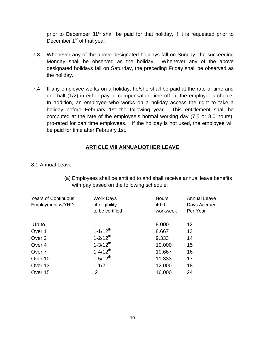prior to December  $31<sup>st</sup>$  shall be paid for that holiday, if it is requested prior to December  $1<sup>st</sup>$  of that year.

- 7.3 Whenever any of the above designated holidays fall on Sunday, the succeeding Monday shall be observed as the holiday. Whenever any of the above designated holidays fall on Saturday, the preceding Friday shall be observed as the holiday.
- 7.4 If any employee works on a holiday, he/she shall be paid at the rate of time and one-half (1/2) in either pay or compensation time off, at the employee's choice. In addition, an employee who works on a holiday access the right to take a holiday before February 1st the following year. This entitlement shall be computed at the rate of the employee's normal working day (7.5 or 8.0 hours), pro-rated for part time employees. If the holiday is not used, the employee will be paid for time after February 1st.

#### **ARTICLE VIII ANNUAL/OTHER LEAVE**

<span id="page-12-1"></span><span id="page-12-0"></span>8.1 Annual Leave

| <b>Years of Continuous</b><br>Employment w/YHD | <b>Work Days</b><br>of eligibility<br>to be certified | <b>Hours</b><br>40.0<br>workweek | <b>Annual Leave</b><br>Days Accrued<br>Per Year |
|------------------------------------------------|-------------------------------------------------------|----------------------------------|-------------------------------------------------|
| Up to 1                                        |                                                       | 8.000                            | 12                                              |
| Over 1                                         | $1 - 1/12$ <sup>th</sup>                              | 8.667                            | 13                                              |
| Over <sub>2</sub>                              | $1 - 2/12$ <sup>th</sup>                              | 9.333                            | 14                                              |
| Over 4                                         | $1 - 3/12$ <sup>th</sup>                              | 10.000                           | 15                                              |
| Over <sub>7</sub>                              | $1 - 4/12$ <sup>th</sup>                              | 10.667                           | 16                                              |
| Over 10                                        | $1 - 5/12$ <sup>th</sup>                              | 11.333                           | 17                                              |
| Over 13                                        | $1 - 1/2$                                             | 12.000                           | 18                                              |
| Over 15                                        | 2                                                     | 16.000                           | 24                                              |

(a) Employees shall be entitled to and shall receive annual leave benefits with pay based on the following schedule: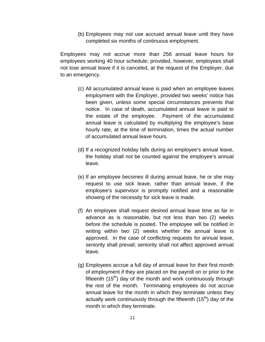(b) Employees may not use accrued annual leave until they have completed six months of continuous employment.

Employees may not accrue more than 256 annual leave hours for employees working 40 hour schedule; provided, however, employees shall not lose annual leave if it is canceled, at the request of the Employer, due to an emergency.

- (c) All accumulated annual leave is paid when an employee leaves employment with the Employer, provided two weeks' notice has been given, unless some special circumstances prevents that notice. In case of death, accumulated annual leave is paid to the estate of the employee. Payment of the accumulated annual leave is calculated by multiplying the employee's base hourly rate, at the time of termination, times the actual number of accumulated annual leave hours.
- (d) If a recognized holiday falls during an employee's annual leave, the holiday shall not be counted against the employee's annual leave.
- (e) If an employee becomes ill during annual leave, he or she may request to use sick leave, rather than annual leave, if the employee's supervisor is promptly notified and a reasonable showing of the necessity for sick leave is made.
- (f) An employee shall request desired annual leave time as far in advance as is reasonable, but not less than two (2) weeks before the schedule is posted. The employee will be notified in writing within two (2) weeks whether the annual leave is approved. In the case of conflicting requests for annual leave, seniority shall prevail; seniority shall not affect approved annual leave.
- (g) Employees accrue a full day of annual leave for their first month of employment if they are placed on the payroll on or prior to the fifteenth  $(15<sup>th</sup>)$  day of the month and work continuously through the rest of the month. Terminating employees do not accrue annual leave for the month in which they terminate unless they actually work continuously through the fifteenth  $(15<sup>th</sup>)$  day of the month in which they terminate.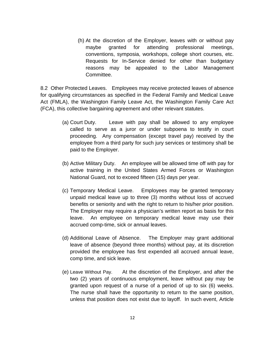(h) At the discretion of the Employer, leaves with or without pay maybe granted for attending professional meetings, conventions, symposia, workshops, college short courses, etc. Requests for In-Service denied for other than budgetary reasons may be appealed to the Labor Management Committee.

<span id="page-14-0"></span>8.2 Other Protected Leaves. Employees may receive protected leaves of absence for qualifying circumstances as specified in the Federal Family and Medical Leave Act (FMLA), the Washington Family Leave Act, the Washington Family Care Act (FCA), this collective bargaining agreement and other relevant statutes.

- (a) Court Duty. Leave with pay shall be allowed to any employee called to serve as a juror or under subpoena to testify in court proceeding. Any compensation (except travel pay) received by the employee from a third party for such jury services or testimony shall be paid to the Employer.
- (b) Active Military Duty. An employee will be allowed time off with pay for active training in the United States Armed Forces or Washington National Guard, not to exceed fifteen (15) days per year.
- (c) Temporary Medical Leave. Employees may be granted temporary unpaid medical leave up to three (3) months without loss of accrued benefits or seniority and with the right to return to his/her prior position. The Employer may require a physician's written report as basis for this leave. An employee on temporary medical leave may use their accrued comp-time, sick or annual leaves.
- (d) Additional Leave of Absence. The Employer may grant additional leave of absence (beyond three months) without pay, at its discretion provided the employee has first expended all accrued annual leave, comp time, and sick leave.
- (e) Leave Without Pay. At the discretion of the Employer, and after the two (2) years of continuous employment, leave without pay may be granted upon request of a nurse of a period of up to six (6) weeks. The nurse shall have the opportunity to return to the same position, unless that position does not exist due to layoff. In such event, Article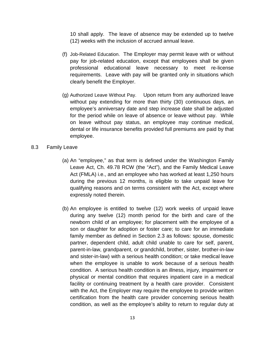10 shall apply. The leave of absence may be extended up to twelve (12) weeks with the inclusion of accrued annual leave.

- (f) Job-Related Education. The Employer may permit leave with or without pay for job-related education, except that employees shall be given professional educational leave necessary to meet re-license requirements. Leave with pay will be granted only in situations which clearly benefit the Employer.
- (g) Authorized Leave Without Pay. Upon return from any authorized leave without pay extending for more than thirty (30) continuous days, an employee's anniversary date and step increase date shall be adjusted for the period while on leave of absence or leave without pay. While on leave without pay status, an employee may continue medical, dental or life insurance benefits provided full premiums are paid by that employee.
- <span id="page-15-0"></span>8.3 Family Leave
	- (a) An "employee," as that term is defined under the Washington Family Leave Act, Ch. 49.78 RCW (the "Act"), and the Family Medical Leave Act (FMLA) i.e., and an employee who has worked at least 1,250 hours during the previous 12 months, is eligible to take unpaid leave for qualifying reasons and on terms consistent with the Act, except where expressly noted therein.
	- (b) An employee is entitled to twelve (12) work weeks of unpaid leave during any twelve (12) month period for the birth and care of the newborn child of an employee; for placement with the employee of a son or daughter for adoption or foster care; to care for an immediate family member as defined in Section 2.3 as follows: spouse, domestic partner, dependent child, adult child unable to care for self, parent, parent-in-law, grandparent, or grandchild, brother, sister, brother-in-law and sister-in-law) with a serious health condition; or take medical leave when the employee is unable to work because of a serious health condition. A serious health condition is an illness, injury, impairment or physical or mental condition that requires inpatient care in a medical facility or continuing treatment by a health care provider. Consistent with the Act, the Employer may require the employee to provide written certification from the health care provider concerning serious health condition, as well as the employee's ability to return to regular duty at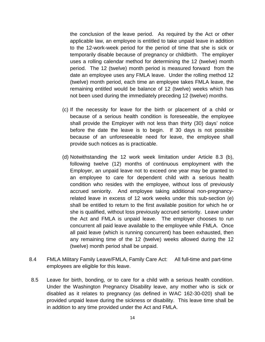the conclusion of the leave period. As required by the Act or other applicable law, an employee is entitled to take unpaid leave in addition to the 12-work-week period for the period of time that she is sick or temporarily disable because of pregnancy or childbirth. The employer uses a rolling calendar method for determining the 12 (twelve) month period. The 12 (twelve) month period is measured forward from the date an employee uses any FMLA leave. Under the rolling method 12 (twelve) month period, each time an employee takes FMLA leave, the remaining entitled would be balance of 12 (twelve) weeks which has not been used during the immediately preceding 12 (twelve) months.

- (c) If the necessity for leave for the birth or placement of a child or because of a serious health condition is foreseeable, the employee shall provide the Employer with not less than thirty (30) days' notice before the date the leave is to begin. If 30 days is not possible because of an unforeseeable need for leave, the employee shall provide such notices as is practicable.
- (d) Notwithstanding the 12 work week limitation under Article 8.3 (b), following twelve (12) months of continuous employment with the Employer, an unpaid leave not to exceed one year may be granted to an employee to care for dependent child with a serious health condition who resides with the employee, without loss of previously accrued seniority. And employee taking additional non-pregnancyrelated leave in excess of 12 work weeks under this sub-section (e) shall be entitled to return to the first available position for which he or she is qualified, without loss previously accrued seniority. Leave under the Act and FMLA is unpaid leave. The employer chooses to run concurrent all paid leave available to the employee while FMLA. Once all paid leave (which is running concurrent) has been exhausted, then any remaining time of the 12 (twelve) weeks allowed during the 12 (twelve) month period shall be unpaid.
- <span id="page-16-0"></span>8.4 FMLA Military Family Leave/FMLA, Family Care Act: All full-time and part-time employees are eligible for this leave.
- <span id="page-16-1"></span>8.5 Leave for birth, bonding, or to care for a child with a serious health condition. Under the Washington Pregnancy Disability leave, any mother who is sick or disabled as it relates to pregnancy (as defined in WAC 162-30-020) shall be provided unpaid leave during the sickness or disability. This leave time shall be in addition to any time provided under the Act and FMLA.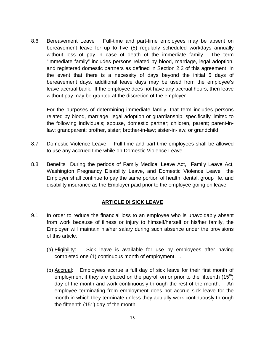<span id="page-17-0"></span>8.6 Bereavement Leave Full-time and part-time employees may be absent on bereavement leave for up to five (5) regularly scheduled workdays annually without loss of pay in case of death of the immediate family. The term "immediate family" includes persons related by blood, marriage, legal adoption, and registered domestic partners as defined in Section 2.3 of this agreement. In the event that there is a necessity of days beyond the initial 5 days of bereavement days, additional leave days may be used from the employee's leave accrual bank. If the employee does not have any accrual hours, then leave without pay may be granted at the discretion of the employer.

For the purposes of determining immediate family, that term includes persons related by blood, marriage, legal adoption or guardianship, specifically limited to the following individuals; spouse, domestic partner; children, parent; parent-inlaw; grandparent; brother, sister; brother-in-law; sister-in-law; or grandchild.

- <span id="page-17-1"></span>8.7 Domestic Violence Leave Full-time and part-time employees shall be allowed to use any accrued time while on Domestic Violence Leave
- 8.8 Benefits During the periods of Family Medical Leave Act, Family Leave Act, Washington Pregnancy Disability Leave, and Domestic Violence Leave the Employer shall continue to pay the same portion of health, dental, group life, and disability insurance as the Employer paid prior to the employee going on leave.

#### <span id="page-17-2"></span>**ARTICLE IX SICK LEAVE**

- <span id="page-17-3"></span>9.1 In order to reduce the financial loss to an employee who is unavoidably absent from work because of illness or injury to himself/herself or his/her family, the Employer will maintain his/her salary during such absence under the provisions of this article.
	- (a) Eligibility: Sick leave is available for use by employees after having completed one (1) continuous month of employment. .
	- (b) Accrual: Employees accrue a full day of sick leave for their first month of employment if they are placed on the payroll on or prior to the fifteenth  $(15<sup>th</sup>)$ day of the month and work continuously through the rest of the month. An employee terminating from employment does not accrue sick leave for the month in which they terminate unless they actually work continuously through the fifteenth  $(15<sup>th</sup>)$  day of the month.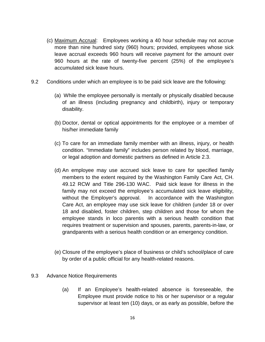- (c) Maximum Accrual: Employees working a 40 hour schedule may not accrue more than nine hundred sixty (960) hours; provided, employees whose sick leave accrual exceeds 960 hours will receive payment for the amount over 960 hours at the rate of twenty-five percent (25%) of the employee's accumulated sick leave hours.
- 9.2 Conditions under which an employee is to be paid sick leave are the following:
	- (a) While the employee personally is mentally or physically disabled because of an illness (including pregnancy and childbirth), injury or temporary disability.
	- (b) Doctor, dental or optical appointments for the employee or a member of his/her immediate family
	- (c) To care for an immediate family member with an illness, injury, or health condition. "Immediate family" includes person related by blood, marriage, or legal adoption and domestic partners as defined in Article 2.3.
	- (d) An employee may use accrued sick leave to care for specified family members to the extent required by the Washington Family Care Act, CH. 49.12 RCW and Title 296-130 WAC. Paid sick leave for illness in the family may not exceed the employee's accumulated sick leave eligibility, without the Employer's approval. In accordance with the Washington Care Act, an employee may use sick leave for children (under 18 or over 18 and disabled, foster children, step children and those for whom the employee stands in loco parentis with a serious health condition that requires treatment or supervision and spouses, parents, parents-in-law, or grandparents with a serious health condition or an emergency condition.
	- (e) Closure of the employee's place of business or child's school/place of care by order of a public official for any health-related reasons.
- 9.3 Advance Notice Requirements
	- (a) If an Employee's health-related absence is foreseeable, the Employee must provide notice to his or her supervisor or a regular supervisor at least ten (10) days, or as early as possible, before the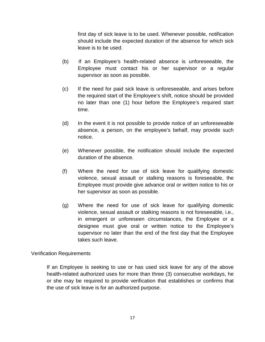first day of sick leave is to be used. Whenever possible, notification should include the expected duration of the absence for which sick leave is to be used.

- (b) If an Employee's health-related absence is unforeseeable, the Employee must contact his or her supervisor or a regular supervisor as soon as possible.
- (c) If the need for paid sick leave is unforeseeable, and arises before the required start of the Employee's shift, notice should be provided no later than one (1) hour before the Employee's required start time.
- (d) In the event it is not possible to provide notice of an unforeseeable absence, a person, on the employee's behalf, may provide such notice.
- (e) Whenever possible, the notification should include the expected duration of the absence.
- (f) Where the need for use of sick leave for qualifying domestic violence, sexual assault or stalking reasons is foreseeable, the Employee must provide give advance oral or written notice to his or her supervisor as soon as possible.
- (g) Where the need for use of sick leave for qualifying domestic violence, sexual assault or stalking reasons is not foreseeable, i.e., in emergent or unforeseen circumstances, the Employee or a designee must give oral or written notice to the Employee's supervisor no later than the end of the first day that the Employee takes such leave.

#### Verification Requirements

If an Employee is seeking to use or has used sick leave for any of the above health-related authorized uses for more than three (3) consecutive workdays, he or she may be required to provide verification that establishes or confirms that the use of sick leave is for an authorized purpose.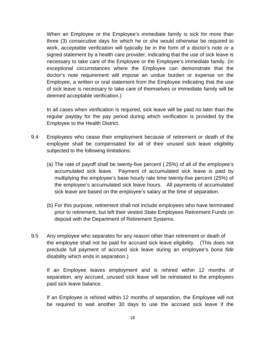When an Employee or the Employee's immediate family is sick for more than three (3) consecutive days for which he or she would otherwise be required to work, acceptable verification will typically be in the form of a doctor's note or a signed statement by a health care provider, indicating that the use of sick leave is necessary to take care of the Employee or the Employee's immediate family. (In exceptional circumstances where the Employee can demonstrate that the doctor's note requirement will impose an undue burden or expense on the Employee, a written or oral statement from the Employee indicating that the use of sick leave is necessary to take care of themselves or immediate family will be deemed acceptable verification.)

In all cases when verification is required, sick leave will be paid no later than the regular payday for the pay period during which verification is provided by the Employee to the Health District.

- 9.4 Employees who cease their employment because of retirement or death of the employee shall be compensated for all of their unused sick leave eligibility subjected to the following limitations:
	- (a) The rate of payoff shall be twenty-five percent (.25%) of all of the employee's accumulated sick leave. Payment of accumulated sick leave is paid by multiplying the employee's base hourly rate time twenty-five percent (25%) of the employee's accumulated sick leave hours. All payments of accumulated sick leave are based on the employee's salary at the time of separation.
	- (b) For this purpose, retirement shall not include employees who have terminated prior to retirement, but left their vested State Employees Retirement Funds on deposit with the Department of Retirement Systems.
- 9.5 Any employee who separates for any reason other than retirement or death of the employee shall not be paid for accrued sick leave eligibility. (This does not preclude full payment of accrued sick leave during an employee's *bona fide* disability which ends in separation.)

If an Employee leaves employment and is rehired within 12 months of separation, any accrued, unused sick leave will be reinstated to the employees paid sick leave balance.

If an Employee is rehired within 12 months of separation, the Employee will not be required to wait another 30 days to use the accrued sick leave if the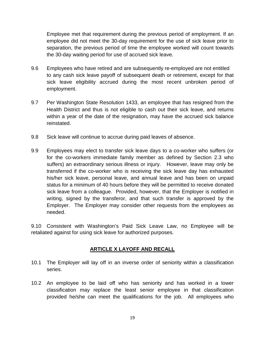Employee met that requirement during the previous period of employment. If an employee did not meet the 30-day requirement for the use of sick leave prior to separation, the previous period of time the employee worked will count towards the 30-day waiting period for use of accrued sick leave.

- 9.6 Employees who have retired and are subsequently re-employed are not entitled to any cash sick leave payoff of subsequent death or retirement, except for that sick leave eligibility accrued during the most recent unbroken period of employment.
- 9.7 Per Washington State Resolution 1433, an employee that has resigned from the Health District and thus is not eligible to cash out their sick leave, and returns within a year of the date of the resignation, may have the accrued sick balance reinstated.
- 9.8 Sick leave will continue to accrue during paid leaves of absence.
- 9.9 Employees may elect to transfer sick leave days to a co-worker who suffers (or for the co-workers immediate family member as defined by Section 2.3 who suffers) an extraordinary serious illness or injury. However, leave may only be transferred if the co-worker who is receiving the sick leave day has exhausted his/her sick leave, personal leave, and annual leave and has been on unpaid status for a minimum of 40 hours before they will be permitted to receive donated sick leave from a colleague. Provided, however, that the Employer is notified in writing, signed by the transferor, and that such transfer is approved by the Employer. The Employer may consider other requests from the employees as needed.

<span id="page-21-0"></span>9.10 Consistent with Washington's Paid Sick Leave Law, no Employee will be retaliated against for using sick leave for authorized purposes.

#### **ARTICLE X LAYOFF AND RECALL**

- 10.1 The Employer will lay off in an inverse order of seniority within a classification series.
- 10.2 An employee to be laid off who has seniority and has worked in a lower classification may replace the least senior employee in that classification provided he/she can meet the qualifications for the job. All employees who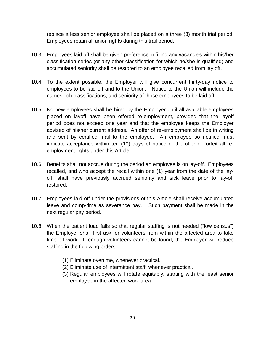replace a less senior employee shall be placed on a three (3) month trial period. Employees retain all union rights during this trail period.

- 10.3 Employees laid off shall be given preference in filling any vacancies within his/her classification series (or any other classification for which he/she is qualified) and accumulated seniority shall be restored to an employee recalled from lay off.
- 10.4 To the extent possible, the Employer will give concurrent thirty-day notice to employees to be laid off and to the Union. Notice to the Union will include the names, job classifications, and seniority of those employees to be laid off.
- 10.5 No new employees shall be hired by the Employer until all available employees placed on layoff have been offered re-employment, provided that the layoff period does not exceed one year and that the employee keeps the Employer advised of his/her current address. An offer of re-employment shall be in writing and sent by certified mail to the employee. An employee so notified must indicate acceptance within ten (10) days of notice of the offer or forfeit all reemployment rights under this Article.
- 10.6 Benefits shall not accrue during the period an employee is on lay-off. Employees recalled, and who accept the recall within one (1) year from the date of the layoff, shall have previously accrued seniority and sick leave prior to lay-off restored.
- 10.7 Employees laid off under the provisions of this Article shall receive accumulated leave and comp-time as severance pay. Such payment shall be made in the next regular pay period.
- 10.8 When the patient load falls so that regular staffing is not needed ("low census") the Employer shall first ask for volunteers from within the affected area to take time off work. If enough volunteers cannot be found, the Employer will reduce staffing in the following orders:
	- (1) Eliminate overtime, whenever practical.
	- (2) Eliminate use of intermittent staff, whenever practical.
	- (3) Regular employees will rotate equitably, starting with the least senior employee in the affected work area.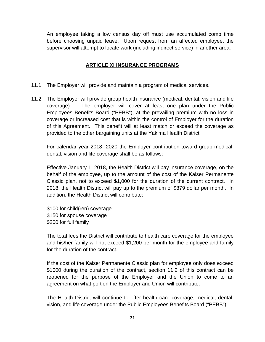<span id="page-23-0"></span>An employee taking a low census day off must use accumulated comp time before choosing unpaid leave. Upon request from an affected employee, the supervisor will attempt to locate work (including indirect service) in another area.

#### **ARTICLE XI INSURANCE PROGRAMS**

- 11.1 The Employer will provide and maintain a program of medical services.
- 11.2 The Employer will provide group health insurance (medical, dental, vision and life coverage). The employer will cover at least one plan under the Public Employees Benefits Board ("PEBB"), at the prevailing premium with no loss in coverage or increased cost that is within the control of Employer for the duration of this Agreement. This benefit will at least match or exceed the coverage as provided to the other bargaining units at the Yakima Health District.

For calendar year 2018- 2020 the Employer contribution toward group medical, dental, vision and life coverage shall be as follows:

Effective January 1, 2018, the Health District will pay insurance coverage, on the behalf of the employee, up to the amount of the cost of the Kaiser Permanente Classic plan, not to exceed \$1,000 for the duration of the current contract. In 2018, the Health District will pay up to the premium of \$879 dollar per month. In addition, the Health District will contribute:

\$100 for child(ren) coverage \$150 for spouse coverage \$200 for full family

The total fees the District will contribute to health care coverage for the employee and his/her family will not exceed \$1,200 per month for the employee and family for the duration of the contract.

If the cost of the Kaiser Permanente Classic plan for employee only does exceed \$1000 during the duration of the contract, section 11.2 of this contract can be reopened for the purpose of the Employer and the Union to come to an agreement on what portion the Employer and Union will contribute.

The Health District will continue to offer health care coverage, medical, dental, vision, and life coverage under the Public Employees Benefits Board ("PEBB").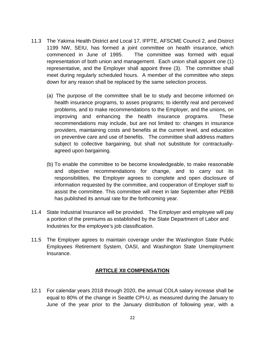- 11.3 The Yakima Health District and Local 17, IFPTE, AFSCME Council 2, and District 1199 NW, SEIU, has formed a joint committee on health insurance, which commenced in June of 1995. The committee was formed with equal representation of both union and management. Each union shall appoint one (1) representative, and the Employer shall appoint three (3). The committee shall meet during regularly scheduled hours. A member of the committee who steps down for any reason shall be replaced by the same selection process.
	- (a) The purpose of the committee shall be to study and become informed on health insurance programs, to asses programs; to identify real and perceived problems, and to make recommendations to the Employer, and the unions, on improving and enhancing the health insurance programs. These recommendations may include, but are not limited to: changes in insurance providers, maintaining costs and benefits at the current level, and education on preventive care and use of benefits. The committee shall address matters subject to collective bargaining, but shall not substitute for contractuallyagreed upon bargaining.
	- (b) To enable the committee to be become knowledgeable, to make reasonable and objective recommendations for change, and to carry out its responsibilities, the Employer agrees to complete and open disclosure of information requested by the committee, and cooperation of Employer staff to assist the committee. This committee will meet in late September after PEBB has published its annual rate for the forthcoming year.
- 11.4 State Industrial Insurance will be provided. The Employer and employee will pay a portion of the premiums as established by the State Department of Labor and Industries for the employee's job classification.
- <span id="page-24-0"></span>11.5 The Employer agrees to maintain coverage under the Washington State Public Employees Retirement System, OASI, and Washington State Unemployment Insurance.

#### **ARTICLE XII COMPENSATION**

12.1 For calendar years 2018 through 2020, the annual COLA salary increase shall be equal to 80% of the change in Seattle CPI-U, as measured during the January to June of the year prior to the January distribution of following year, with a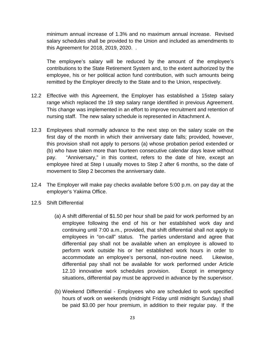minimum annual increase of 1.3% and no maximum annual increase. Revised salary schedules shall be provided to the Union and included as amendments to this Agreement for 2018, 2019, 2020. .

The employee's salary will be reduced by the amount of the employee's contributions to the State Retirement System and, to the extent authorized by the employee, his or her political action fund contribution, with such amounts being remitted by the Employer directly to the State and to the Union, respectively.

- 12.2 Effective with this Agreement, the Employer has established a 15step salary range which replaced the 19 step salary range identified in previous Agreement. This change was implemented in an effort to improve recruitment and retention of nursing staff. The new salary schedule is represented in Attachment A.
- 12.3 Employees shall normally advance to the next step on the salary scale on the first day of the month in which their anniversary date falls; provided, however, this provision shall not apply to persons (a) whose probation period extended or (b) who have taken more than fourteen consecutive calendar days leave without pay. "Anniversary," in this context, refers to the date of hire, except an employee hired at Step I usually moves to Step 2 after 6 months, so the date of movement to Step 2 becomes the anniversary date.
- 12.4 The Employer will make pay checks available before 5:00 p.m. on pay day at the employer's Yakima Office.
- <span id="page-25-0"></span>12.5 Shift Differential
	- (a) A shift differential of \$1.50 per hour shall be paid for work performed by an employee following the end of his or her established work day and continuing until 7:00 a.m., provided, that shift differential shall not apply to employees in "on-call" status. The parties understand and agree that differential pay shall not be available when an employee is allowed to perform work outside his or her established work hours in order to accommodate an employee's personal, non-routine need. Likewise, differential pay shall not be available for work performed under Article 12.10 innovative work schedules provision. Except in emergency situations, differential pay must be approved in advance by the supervisor.
	- (b) Weekend Differential Employees who are scheduled to work specified hours of work on weekends (midnight Friday until midnight Sunday) shall be paid \$3.00 per hour premium, in addition to their regular pay. If the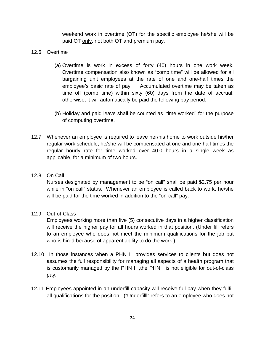weekend work in overtime (OT) for the specific employee he/she will be paid OT only, not both OT and premium pay.

#### <span id="page-26-0"></span>12.6 Overtime

- (a) Overtime is work in excess of forty (40) hours in one work week. Overtime compensation also known as "comp time" will be allowed for all bargaining unit employees at the rate of one and one-half times the employee's basic rate of pay. Accumulated overtime may be taken as time off (comp time) within sixty (60) days from the date of accrual; otherwise, it will automatically be paid the following pay period.
- (b) Holiday and paid leave shall be counted as "time worked" for the purpose of computing overtime.
- 12.7 Whenever an employee is required to leave her/his home to work outside his/her regular work schedule, he/she will be compensated at one and one-half times the regular hourly rate for time worked over 40.0 hours in a single week as applicable, for a minimum of two hours.

#### <span id="page-26-1"></span>12.8 On Call

Nurses designated by management to be "on call" shall be paid \$2.75 per hour while in "on call" status. Whenever an employee is called back to work, he/she will be paid for the time worked in addition to the "on-call" pay.

#### <span id="page-26-2"></span>12.9 Out-of-Class

Employees working more than five (5) consecutive days in a higher classification will receive the higher pay for all hours worked in that position. (Under fill refers to an employee who does not meet the minimum qualifications for the job but who is hired because of apparent ability to do the work.)

- 12.10 In those instances when a PHN I provides services to clients but does not assumes the full responsibility for managing all aspects of a health program that is customarily managed by the PHN II ,the PHN I is not eligible for out-of-class pay.
- 12.11 Employees appointed in an underfill capacity will receive full pay when they fulfill all qualifications for the position. ("Underfilll" refers to an employee who does not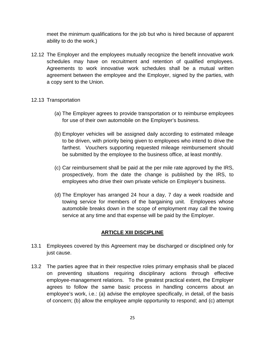meet the minimum qualifications for the job but who is hired because of apparent ability to do the work.)

12.12 The Employer and the employees mutually recognize the benefit innovative work schedules may have on recruitment and retention of qualified employees. Agreements to work innovative work schedules shall be a mutual written agreement between the employee and the Employer, signed by the parties, with a copy sent to the Union.

#### <span id="page-27-0"></span>12.13 Transportation

- (a) The Employer agrees to provide transportation or to reimburse employees for use of their own automobile on the Employer's business.
- (b) Employer vehicles will be assigned daily according to estimated mileage to be driven, with priority being given to employees who intend to drive the farthest. Vouchers supporting requested mileage reimbursement should be submitted by the employee to the business office, at least monthly.
- (c) Car reimbursement shall be paid at the per mile rate approved by the IRS, prospectively, from the date the change is published by the IRS, to employees who drive their own private vehicle on Employer's business.
- (d) The Employer has arranged 24 hour a day, 7 day a week roadside and towing service for members of the bargaining unit. Employees whose automobile breaks down in the scope of employment may call the towing service at any time and that expense will be paid by the Employer.

#### **ARTICLE XIII DISCIPLINE**

- <span id="page-27-1"></span>13.1 Employees covered by this Agreement may be discharged or disciplined only for just cause.
- 13.2 The parties agree that in their respective roles primary emphasis shall be placed on preventing situations requiring disciplinary actions through effective employee-management relations. To the greatest practical extent, the Employer agrees to follow the same basic process in handling concerns about an employee's work, i.e.: (a) advise the employee specifically, in detail, of the basis of concern; (b) allow the employee ample opportunity to respond; and (c) attempt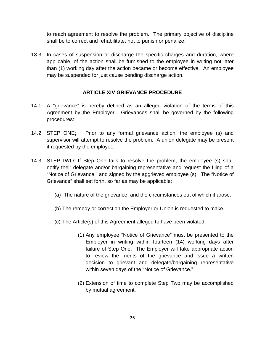to reach agreement to resolve the problem. The primary objective of discipline shall be to correct and rehabilitate, not to punish or penalize.

13.3 In cases of suspension or discharge the specific charges and duration, where applicable, of the action shall be furnished to the employee in writing not later than (1) working day after the action became or become effective. An employee may be suspended for just cause pending discharge action.

#### **ARTICLE XIV GRIEVANCE PROCEDURE**

- <span id="page-28-0"></span>14.1 A "grievance" is hereby defined as an alleged violation of the terms of this Agreement by the Employer. Grievances shall be governed by the following procedures:
- 14.2 STEP ONE: Prior to any formal grievance action, the employee (s) and supervisor will attempt to resolve the problem. A union delegate may be present if requested by the employee.
- 14.3 STEP TWO: If Step One fails to resolve the problem, the employee (s) shall notify their delegate and/or bargaining representative and request the filing of a "Notice of Grievance," and signed by the aggrieved employee (s). The "Notice of Grievance" shall set forth, so far as may be applicable:
	- (a) The nature of the grievance, and the circumstances out of which it arose.
	- (b) The remedy or correction the Employer or Union is requested to make.
	- (c) The Article(s) of this Agreement alleged to have been violated.
		- (1) Any employee "Notice of Grievance" must be presented to the Employer in writing within fourteen (14) working days after failure of Step One. The Employer will take appropriate action to review the merits of the grievance and issue a written decision to grievant and delegate/bargaining representative within seven days of the "Notice of Grievance."
		- (2) Extension of time to complete Step Two may be accomplished by mutual agreement.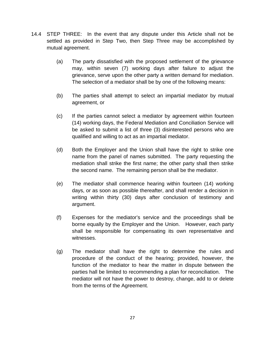- 14.4 STEP THREE:In the event that any dispute under this Article shall not be settled as provided in Step Two, then Step Three may be accomplished by mutual agreement.
	- (a) The party dissatisfied with the proposed settlement of the grievance may, within seven (7) working days after failure to adjust the grievance, serve upon the other party a written demand for mediation. The selection of a mediator shall be by one of the following means:
	- (b) The parties shall attempt to select an impartial mediator by mutual agreement, or
	- (c) If the parties cannot select a mediator by agreement within fourteen (14) working days, the Federal Mediation and Conciliation Service will be asked to submit a list of three (3) disinterested persons who are qualified and willing to act as an impartial mediator.
	- (d) Both the Employer and the Union shall have the right to strike one name from the panel of names submitted. The party requesting the mediation shall strike the first name; the other party shall then strike the second name. The remaining person shall be the mediator.
	- (e) The mediator shall commence hearing within fourteen (14) working days, or as soon as possible thereafter, and shall render a decision in writing within thirty (30) days after conclusion of testimony and argument.
	- (f) Expenses for the mediator's service and the proceedings shall be borne equally by the Employer and the Union. However, each party shall be responsible for compensating its own representative and witnesses.
	- (g) The mediator shall have the right to determine the rules and procedure of the conduct of the hearing; provided, however, the function of the mediator to hear the matter in dispute between the parties hall be limited to recommending a plan for reconciliation. The mediator will not have the power to destroy, change, add to or delete from the terms of the Agreement.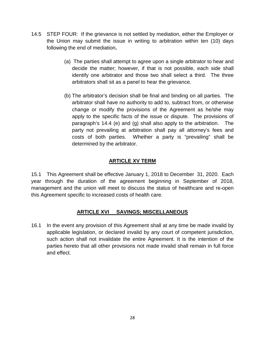- 14.5 STEP FOUR:If the grievance is not settled by mediation, either the Employer or the Union may submit the issue in writing to arbitration within ten (10) days following the end of mediation**.**
	- (a) The parties shall attempt to agree upon a single arbitrator to hear and decide the matter; however, if that is not possible, each side shall identify one arbitrator and those two shall select a third. The three arbitrators shall sit as a panel to hear the grievance.
	- (b) The arbitrator's decision shall be final and binding on all parties. The arbitrator shall have no authority to add to, subtract from, or otherwise change or modify the provisions of the Agreement as he/she may apply to the specific facts of the issue or dispute. The provisions of paragraph's 14.4 (e) and (g) shall also apply to the arbitration. The party not prevailing at arbitration shall pay all attorney's fees and costs of both parties. Whether a party is "prevailing" shall be determined by the arbitrator.

#### **ARTICLE XV TERM**

<span id="page-30-0"></span>15.1 This Agreement shall be effective January 1, 2018 to December 31, 2020. Each year through the duration of the agreement beginning in September of 2018, management and the union will meet to discuss the status of healthcare and re-open this Agreement specific to increased costs of health care.

#### **ARTICLE XVI SAVINGS; MISCELLANEOUS**

<span id="page-30-1"></span>16.1 In the event any provision of this Agreement shall at any time be made invalid by applicable legislation, or declared invalid by any court of competent jurisdiction, such action shall not invalidate the entire Agreement. It is the intention of the parties hereto that all other provisions not made invalid shall remain in full force and effect.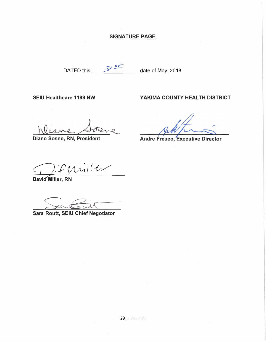#### **SIGNATURE PAGE**

DATED this <u>3<sup>/3</sup></u> date of May, 2018

SEIU Healthcare 1199 NW YAKIMA COUNTY HEALTH DISTRICT

**Diane Sosne, RN, President** 

**Andre Fresco, Executive Director** 

Difuniller

David Miller, RN

**Routt, SEIU Chief Negotiator** 

**Sara**